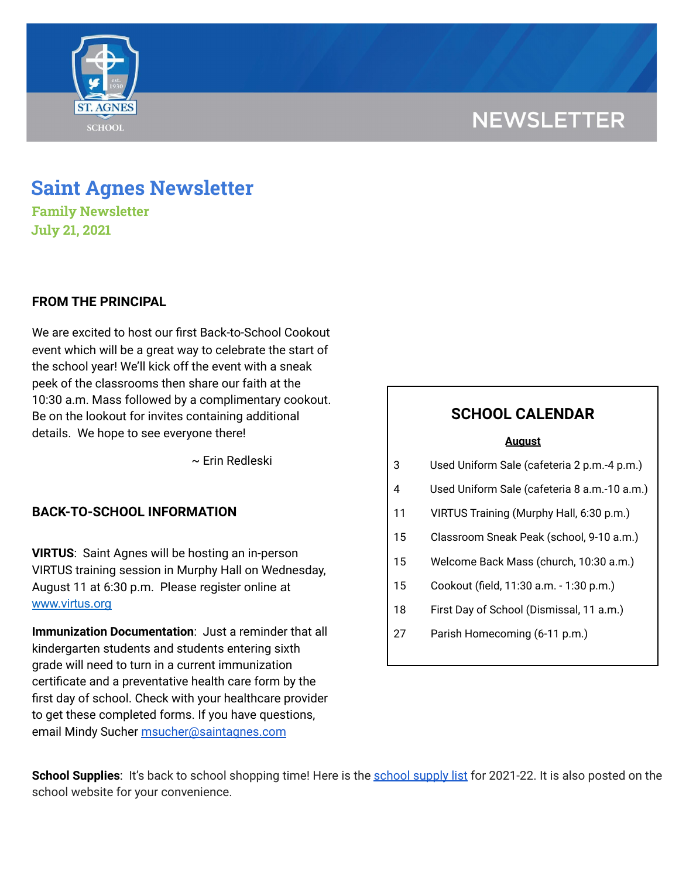# **NEWSLETTER**



## **Saint Agnes Newsletter**

**Family Newsletter July 21, 2021**

### **FROM THE PRINCIPAL**

We are excited to host our first Back-to-School Cookout event which will be a great way to celebrate the start of the school year! We'll kick off the event with a sneak peek of the classrooms then share our faith at the 10:30 a.m. Mass followed by a complimentary cookout. Be on the lookout for invites containing additional details. We hope to see everyone there!

~ Erin Redleski

### **BACK-TO-SCHOOL INFORMATION**

**VIRTUS**: Saint Agnes will be hosting an in-person VIRTUS training session in Murphy Hall on Wednesday, August 11 at 6:30 p.m. Please register online at www.virtus.org

**Immunization Documentation**: Just a reminder that all kindergarten students and students entering sixth grade will need to turn in a current immunization certificate and a preventative health care form by the first day of school. Check with your healthcare provider to get these completed forms. If you have questions, email Mindy Sucher [msucher@saintagnes.com](mailto:msucher@saintagnes.com)

### **SCHOOL CALENDAR**

#### **August**

- 3 Used Uniform Sale (cafeteria 2 p.m.-4 p.m.)
- 4 Used Uniform Sale (cafeteria 8 a.m.-10 a.m.)
- 11 VIRTUS Training (Murphy Hall, 6:30 p.m.)
- 15 Classroom Sneak Peak (school, 9-10 a.m.)
- 15 Welcome Back Mass (church, 10:30 a.m.)
- 15 Cookout (field, 11:30 a.m. 1:30 p.m.)
- 18 First Day of School (Dismissal, 11 a.m.)
- 27 Parish Homecoming (6-11 p.m.)

**School Supplies**: It's back to [school](https://school.saintagnes.com/wp-content/uploads/2021/06/Supplies_2021-22.pdf) shopping time! Here is the school supply list for 2021-22. It is also posted on the school website for your convenience.